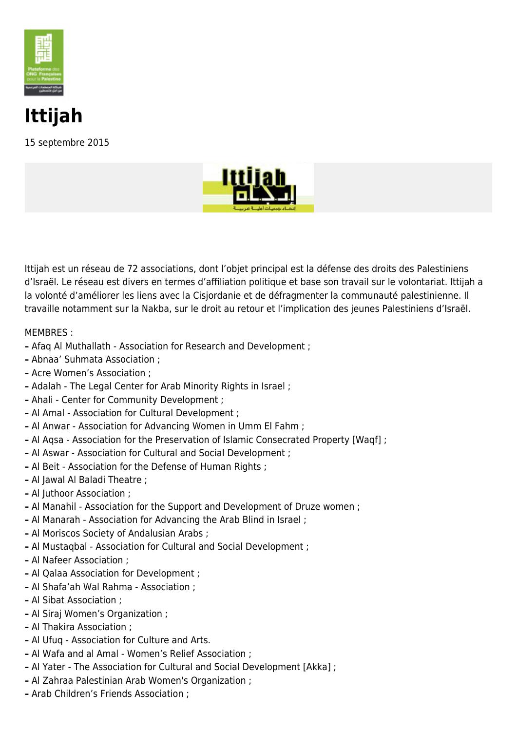

## **Ittijah**

15 septembre 2015



Ittijah est un réseau de 72 associations, dont l'objet principal est la défense des droits des Palestiniens d'Israël. Le réseau est divers en termes d'affiliation politique et base son travail sur le volontariat. Ittijah a la volonté d'améliorer les liens avec la Cisjordanie et de défragmenter la communauté palestinienne. Il travaille notamment sur la Nakba, sur le droit au retour et l'implication des jeunes Palestiniens d'Israël.

## MEMBRES :

- **–** Afaq Al Muthallath Association for Research and Development ;
- **–** Abnaa' Suhmata Association ;
- **–** Acre Women's Association ;
- **–** Adalah The Legal Center for Arab Minority Rights in Israel ;
- **–** Ahali Center for Community Development ;
- **–** Al Amal Association for Cultural Development ;
- **–** Al Anwar Association for Advancing Women in Umm El Fahm ;
- **–** Al Aqsa Association for the Preservation of Islamic Consecrated Property [Waqf] ;
- **–** Al Aswar Association for Cultural and Social Development ;
- **–** Al Beit Association for the Defense of Human Rights ;
- **–** Al Jawal Al Baladi Theatre ;
- **–** Al Juthoor Association ;
- **–** Al Manahil Association for the Support and Development of Druze women ;
- **–** Al Manarah Association for Advancing the Arab Blind in Israel ;
- **–** Al Moriscos Society of Andalusian Arabs ;
- **–** Al Mustaqbal Association for Cultural and Social Development ;
- **–** Al Nafeer Association ;
- **–** Al Qalaa Association for Development ;
- **–** Al Shafa'ah Wal Rahma Association ;
- **–** Al Sibat Association ;
- **–** Al Siraj Women's Organization ;
- **–** Al Thakira Association ;
- **–** Al Ufuq Association for Culture and Arts.
- **–** Al Wafa and al Amal Women's Relief Association ;
- **–** Al Yater The Association for Cultural and Social Development [Akka] ;
- **–** Al Zahraa Palestinian Arab Women's Organization ;
- **–** Arab Children's Friends Association ;